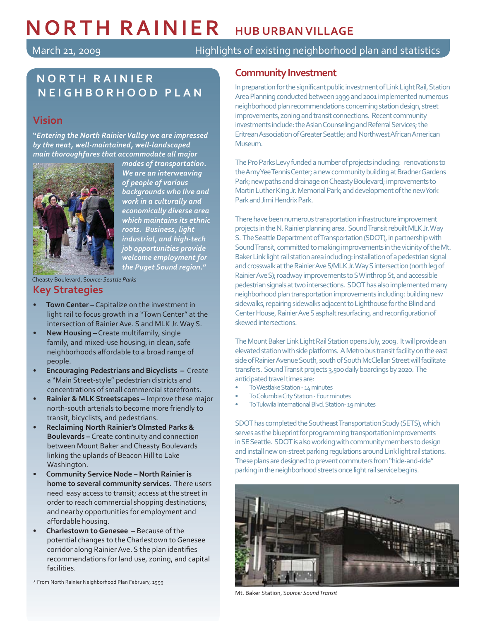# **NORTH RAINIER HUB URBAN VILLAGE**

March 21, 2009 **Highlights of existing neighborhood plan and statistics** 

# **NORTH RAINIER NEIGHBORHOOD PLAN**

## **Vision**

J

**"***Entering the North Rainier Valley we are impressed by the neat, well-maintained, well-landscaped main thoroughfares that accommodate all major* 



*modes of transportation. We are an interweaving of people of various backgrounds who live and work in a culturally and economically diverse area which maintains its ethnic roots. Business, light industrial, and high-tech job opportunities provide welcome employment for the Puget Sound region.***"**

Cheasty Boulevard, S*ource: Seattle Parks*

## **Key Strategies**

- **Town Center –** Capitalize on the investment in light rail to focus growth in a "Town Center" at the intersection of Rainier Ave. S and MLK Jr. Way S.
- **New Housing –** Create multifamily, single family, and mixed-use housing, in clean, safe neighborhoods affordable to a broad range of people.
- **Encouraging Pedestrians and Bicyclists –** Create a "Main Street-style" pedestrian districts and concentrations of small commercial storefronts.
- **Rainier & MLK Streetscapes –** Improve these major north-south arterials to become more friendly to transit, bicyclists, and pedestrians.
- **Reclaiming North Rainier's Olmsted Parks & Boulevards –** Create continuity and connection between Mount Baker and Cheasty Boulevards linking the uplands of Beacon Hill to Lake Washington.
- **Community Service Node – North Rainier is home to several community services**. There users need easy access to transit; access at the street in order to reach commercial shopping destinations; and nearby opportunities for employment and affordable housing.
- **Charlestown to Genesee –** Because of the potential changes to the Charlestown to Genesee corridor along Rainier Ave. S the plan identifies recommendations for land use, zoning, and capital facilities.

\* From North Rainier Neighborhood Plan February, 1999

## **Community Investment**

In preparation for the significant public investment of Link Light Rail, Station Area Planning conducted between 1999 and 2001 implemented numerous neighborhood plan recommendations concerning station design, street improvements, zoning and transit connections. Recent community investments include: the Asian Counseling and Referral Services; the Eritrean Association of Greater Seattle; and Northwest African American Museum.

The Pro Parks Levy funded a number of projects including: renovations to the Amy Yee Tennis Center; a new community building at Bradner Gardens Park; new paths and drainage on Cheasty Boulevard; improvements to Martin Luther King Jr. Memorial Park; and development of the new York Park and Jimi Hendrix Park.

There have been numerous transportation infrastructure improvement projects in the N. Rainier planning area. Sound Transit rebuilt MLK Jr. Way S. The Seattle Department of Transportation (SDOT), in partnership with Sound Transit, committed to making improvements in the vicinity of the Mt. Baker Link light rail station area including: installation of a pedestrian signal and crosswalk at the Rainier Ave S/MLK Jr. Way S intersection (north leg of Rainier Ave S); roadway improvements to S Winthrop St, and accessible pedestrian signals at two intersections. SDOT has also implemented many neighborhood plan transportation improvements including: building new sidewalks, repairing sidewalks adjacent to Lighthouse for the Blind and Center House, Rainier Ave S asphalt resurfacing, and reconfiguration of skewed intersections.

The Mount Baker Link Light Rail Station opens July, 2009. It will provide an elevated station with side platforms. A Metro bus transit facility on the east side of Rainier Avenue South, south of South McClellan Street will facilitate transfers. Sound Transit projects 3,500 daily boardings by 2020. The anticipated travel times are:

- To Westlake Station 14 minutes
- To Columbia City Station Four minutes
- To Tukwila International Blvd. Station- 19 minutes

SDOT has completed the Southeast Transportation Study (SETS), which serves as the blueprint for programming transportation improvements in SE Seattle. SDOT is also working with community members to design and install new on-street parking regulations around Link light rail stations. These plans are designed to prevent commuters from "hide-and-ride" parking in the neighborhood streets once light rail service begins.



Mt. Baker Station, S*ource: Sound Transit*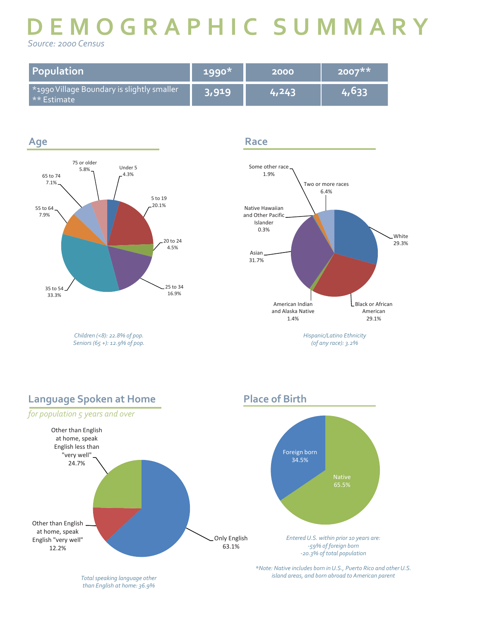# **DEMOGRAPHIC SUMMARY**  *Source: 2000 Census*

**Race**

**Place of Birth**

| Population                                                              | 1990* | 2000  | $2007**$ |
|-------------------------------------------------------------------------|-------|-------|----------|
| <sup>*</sup> 1990 Village Boundary is slightly smaller<br>  ** Estimate | 3,919 | 4.243 | 4,633    |



*Children (<8): 22.8% of pop. Seniors (65 +): 12.9% of pop.*



# **Language Spoken at Home**



*than English at home: 36.9%*

*island areas, and born abroad to American parent Total speaking language other*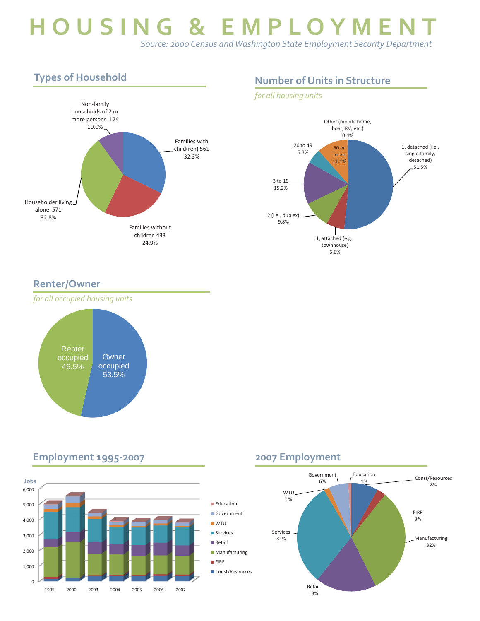# **HOUSING & EMPLOYMEN**  *Source: 2000 Census and Washington State Employment Security Department*

# **Types of Household**



# **Number of Units in Structure**

## *for all housing units*



## **Renter/Owner**



### 2,000 3,000 4,000 5,000 6,000 **Education** Government WTU **Services Retail** 0 1,000 2,000<br>0<br>1995 2000 2003 2004 2005 2006 2007 **Manufacturing FIRE** Const/Resources **Jobs**

## **2007 Employment**



## **Employment 1995-2007**